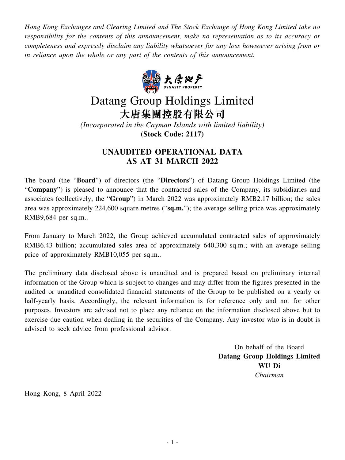*Hong Kong Exchanges and Clearing Limited and The Stock Exchange of Hong Kong Limited take no responsibility for the contents of this announcement, make no representation as to its accuracy or completeness and expressly disclaim any liability whatsoever for any loss howsoever arising from or in reliance upon the whole or any part of the contents of this announcement.*



## Datang Group Holdings Limited 大唐集團控股有限公司

*(Incorporated in the Cayman Islands with limited liability)* **(Stock Code: 2117)**

## **UNAUDITED OPERATIONAL DATA AS AT 31 MARCH 2022**

The board (the "**Board**") of directors (the "**Directors**") of Datang Group Holdings Limited (the "**Company**") is pleased to announce that the contracted sales of the Company, its subsidiaries and associates (collectively, the "**Group**") in March 2022 was approximately RMB2.17 billion; the sales area was approximately 224,600 square metres ("**sq.m.**"); the average selling price was approximately RMB9,684 per sq.m..

From January to March 2022, the Group achieved accumulated contracted sales of approximately RMB6.43 billion; accumulated sales area of approximately 640,300 sq.m.; with an average selling price of approximately RMB10,055 per sq.m..

The preliminary data disclosed above is unaudited and is prepared based on preliminary internal information of the Group which is subject to changes and may differ from the figures presented in the audited or unaudited consolidated financial statements of the Group to be published on a yearly or half-yearly basis. Accordingly, the relevant information is for reference only and not for other purposes. Investors are advised not to place any reliance on the information disclosed above but to exercise due caution when dealing in the securities of the Company. Any investor who is in doubt is advised to seek advice from professional advisor.

> On behalf of the Board **Datang Group Holdings Limited WU Di** *Chairman*

Hong Kong, 8 April 2022